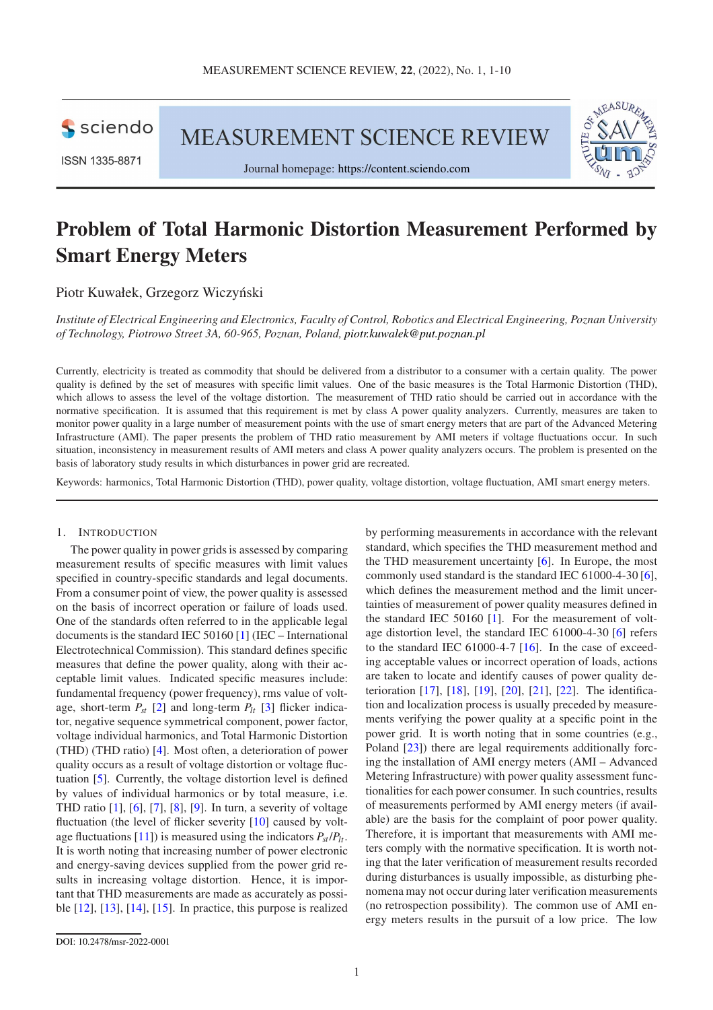**S** sciendo

ISSN 1335-8871

MEASUREMENT SCIENCE REVIEW



# Problem of Total Harmonic Distortion Measurement Performed by Smart Energy Meters

Piotr Kuwałek, Grzegorz Wiczyński

*Institute of Electrical Engineering and Electronics, Faculty of Control, Robotics and Electrical Engineering, Poznan University of Technology, Piotrowo Street 3A, 60-965, Poznan, Poland, [piotr.kuwalek@put.poznan.pl](mailto:piotr.kuwalek@put.poznan.pl)*

Currently, electricity is treated as commodity that should be delivered from a distributor to a consumer with a certain quality. The power quality is defined by the set of measures with specific limit values. One of the basic measures is the Total Harmonic Distortion (THD), which allows to assess the level of the voltage distortion. The measurement of THD ratio should be carried out in accordance with the normative specification. It is assumed that this requirement is met by class A power quality analyzers. Currently, measures are taken to monitor power quality in a large number of measurement points with the use of smart energy meters that are part of the Advanced Metering Infrastructure (AMI). The paper presents the problem of THD ratio measurement by AMI meters if voltage fluctuations occur. In such situation, inconsistency in measurement results of AMI meters and class A power quality analyzers occurs. The problem is presented on the basis of laboratory study results in which disturbances in power grid are recreated.

Keywords: harmonics, Total Harmonic Distortion (THD), power quality, voltage distortion, voltage fluctuation, AMI smart energy meters.

#### 1. INTRODUCTION

The power quality in power grids is assessed by comparing measurement results of specific measures with limit values specified in country-specific standards and legal documents. From a consumer point of view, the power quality is assessed on the basis of incorrect operation or failure of loads used. One of the standards often referred to in the applicable legal documents is the standard IEC 50160 [\[1\]](#page-7-0) (IEC – International Electrotechnical Commission). This standard defines specific measures that define the power quality, along with their acceptable limit values. Indicated specific measures include: fundamental frequency (power frequency), rms value of voltage, short-term  $P_{st}$  [\[2\]](#page-7-1) and long-term  $P_{lt}$  [\[3\]](#page-7-2) flicker indicator, negative sequence symmetrical component, power factor, voltage individual harmonics, and Total Harmonic Distortion (THD) (THD ratio) [\[4\]](#page-8-0). Most often, a deterioration of power quality occurs as a result of voltage distortion or voltage fluctuation [\[5\]](#page-8-1). Currently, the voltage distortion level is defined by values of individual harmonics or by total measure, i.e. THD ratio [\[1\]](#page-7-0), [\[6\]](#page-8-2), [\[7\]](#page-8-3), [\[8\]](#page-8-4), [\[9\]](#page-8-5). In turn, a severity of voltage fluctuation (the level of flicker severity [\[10\]](#page-8-6) caused by volt-age fluctuations [\[11\]](#page-8-7)) is measured using the indicators  $P_{st}/P_{lt}$ . It is worth noting that increasing number of power electronic and energy-saving devices supplied from the power grid results in increasing voltage distortion. Hence, it is important that THD measurements are made as accurately as possible  $[12]$ ,  $[13]$ ,  $[14]$ ,  $[15]$ . In practice, this purpose is realized by performing measurements in accordance with the relevant standard, which specifies the THD measurement method and the THD measurement uncertainty [\[6\]](#page-8-2). In Europe, the most commonly used standard is the standard IEC 61000-4-30 [\[6\]](#page-8-2), which defines the measurement method and the limit uncertainties of measurement of power quality measures defined in the standard IEC 50160  $[1]$ . For the measurement of voltage distortion level, the standard IEC 61000-4-30 [\[6\]](#page-8-2) refers to the standard IEC 61000-4-7 [\[16\]](#page-8-12). In the case of exceeding acceptable values or incorrect operation of loads, actions are taken to locate and identify causes of power quality deterioration [\[17\]](#page-8-13), [\[18\]](#page-8-14), [\[19\]](#page-8-15), [\[20\]](#page-8-16), [\[21\]](#page-8-17), [\[22\]](#page-8-18). The identification and localization process is usually preceded by measurements verifying the power quality at a specific point in the power grid. It is worth noting that in some countries (e.g., Poland [\[23\]](#page-8-19)) there are legal requirements additionally forcing the installation of AMI energy meters (AMI – Advanced Metering Infrastructure) with power quality assessment functionalities for each power consumer. In such countries, results of measurements performed by AMI energy meters (if available) are the basis for the complaint of poor power quality. Therefore, it is important that measurements with AMI meters comply with the normative specification. It is worth noting that the later verification of measurement results recorded during disturbances is usually impossible, as disturbing phenomena may not occur during later verification measurements (no retrospection possibility). The common use of AMI energy meters results in the pursuit of a low price. The low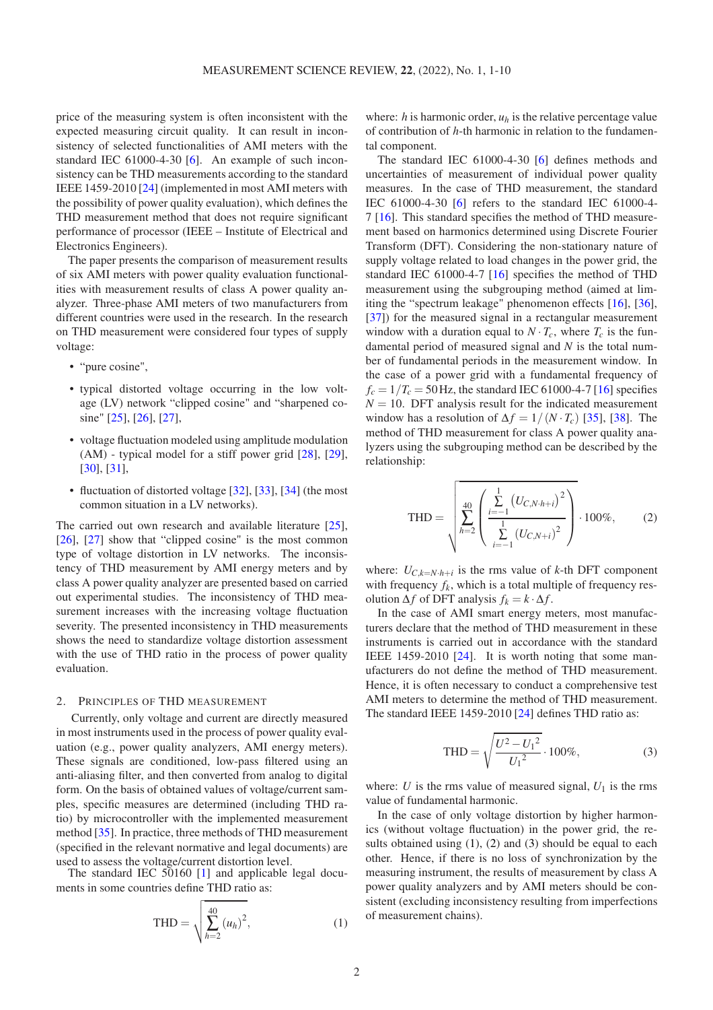price of the measuring system is often inconsistent with the expected measuring circuit quality. It can result in inconsistency of selected functionalities of AMI meters with the standard IEC 61000-4-30 [\[6\]](#page-8-2). An example of such inconsistency can be THD measurements according to the standard IEEE 1459-2010 [\[24\]](#page-8-20) (implemented in most AMI meters with the possibility of power quality evaluation), which defines the THD measurement method that does not require significant performance of processor (IEEE – Institute of Electrical and Electronics Engineers).

The paper presents the comparison of measurement results of six AMI meters with power quality evaluation functionalities with measurement results of class A power quality analyzer. Three-phase AMI meters of two manufacturers from different countries were used in the research. In the research on THD measurement were considered four types of supply voltage:

- "pure cosine",
- typical distorted voltage occurring in the low voltage (LV) network "clipped cosine" and "sharpened cosine" [\[25\]](#page-8-21), [\[26\]](#page-8-22), [\[27\]](#page-8-23),
- voltage fluctuation modeled using amplitude modulation (AM) - typical model for a stiff power grid [\[28\]](#page-8-24), [\[29\]](#page-8-25), [\[30\]](#page-8-26), [\[31\]](#page-8-27),
- fluctuation of distorted voltage [\[32\]](#page-8-28), [\[33\]](#page-9-0), [\[34\]](#page-9-1) (the most common situation in a LV networks).

The carried out own research and available literature [\[25\]](#page-8-21), [\[26\]](#page-8-22), [\[27\]](#page-8-23) show that "clipped cosine" is the most common type of voltage distortion in LV networks. The inconsistency of THD measurement by AMI energy meters and by class A power quality analyzer are presented based on carried out experimental studies. The inconsistency of THD measurement increases with the increasing voltage fluctuation severity. The presented inconsistency in THD measurements shows the need to standardize voltage distortion assessment with the use of THD ratio in the process of power quality evaluation.

#### 2. PRINCIPLES OF THD MEASUREMENT

Currently, only voltage and current are directly measured in most instruments used in the process of power quality evaluation (e.g., power quality analyzers, AMI energy meters). These signals are conditioned, low-pass filtered using an anti-aliasing filter, and then converted from analog to digital form. On the basis of obtained values of voltage/current samples, specific measures are determined (including THD ratio) by microcontroller with the implemented measurement method [\[35\]](#page-9-2). In practice, three methods of THD measurement (specified in the relevant normative and legal documents) are used to assess the voltage/current distortion level.

The standard IEC  $\overline{50160}$  [\[1\]](#page-7-0) and applicable legal documents in some countries define THD ratio as:

$$
\text{THD} = \sqrt{\sum_{h=2}^{40} (u_h)^2},
$$
 (1)

where:  $h$  is harmonic order,  $u_h$  is the relative percentage value of contribution of *h*-th harmonic in relation to the fundamental component.

The standard IEC 61000-4-30 [\[6\]](#page-8-2) defines methods and uncertainties of measurement of individual power quality measures. In the case of THD measurement, the standard IEC 61000-4-30 [\[6\]](#page-8-2) refers to the standard IEC 61000-4- 7 [\[16\]](#page-8-12). This standard specifies the method of THD measurement based on harmonics determined using Discrete Fourier Transform (DFT). Considering the non-stationary nature of supply voltage related to load changes in the power grid, the standard IEC 61000-4-7 [\[16\]](#page-8-12) specifies the method of THD measurement using the subgrouping method (aimed at limiting the "spectrum leakage" phenomenon effects [\[16\]](#page-8-12), [\[36\]](#page-9-3), [\[37\]](#page-9-4)) for the measured signal in a rectangular measurement window with a duration equal to  $N \cdot T_c$ , where  $T_c$  is the fundamental period of measured signal and *N* is the total number of fundamental periods in the measurement window. In the case of a power grid with a fundamental frequency of  $f_c = 1/T_c = 50$  Hz, the standard IEC 61000-4-7 [\[16\]](#page-8-12) specifies  $N = 10$ . DFT analysis result for the indicated measurement window has a resolution of  $\Delta f = 1/(N \cdot T_c)$  [\[35\]](#page-9-2), [\[38\]](#page-9-5). The method of THD measurement for class A power quality analyzers using the subgrouping method can be described by the relationship:

<span id="page-1-1"></span>
$$
\text{THD} = \sqrt{\sum_{h=2}^{40} \left( \frac{\sum_{i=-1}^{1} (U_{C,N\cdot h+i})^2}{\sum_{i=-1}^{1} (U_{C,N+i})^2} \right)} \cdot 100\%, \tag{2}
$$

where:  $U_{C,k=N\cdot h+i}$  is the rms value of *k*-th DFT component with frequency  $f_k$ , which is a total multiple of frequency resolution  $\Delta f$  of DFT analysis  $f_k = k \cdot \Delta f$ .

In the case of AMI smart energy meters, most manufacturers declare that the method of THD measurement in these instruments is carried out in accordance with the standard IEEE 1459-2010 [\[24\]](#page-8-20). It is worth noting that some manufacturers do not define the method of THD measurement. Hence, it is often necessary to conduct a comprehensive test AMI meters to determine the method of THD measurement. The standard IEEE 1459-2010 [\[24\]](#page-8-20) defines THD ratio as:

<span id="page-1-2"></span>
$$
\text{THD} = \sqrt{\frac{U^2 - U_1^2}{U_1^2}} \cdot 100\%,\tag{3}
$$

where: *U* is the rms value of measured signal,  $U_1$  is the rms value of fundamental harmonic.

<span id="page-1-0"></span>In the case of only voltage distortion by higher harmonics (without voltage fluctuation) in the power grid, the results obtained using  $(1)$ ,  $(2)$  and  $(3)$  should be equal to each other. Hence, if there is no loss of synchronization by the measuring instrument, the results of measurement by class A power quality analyzers and by AMI meters should be consistent (excluding inconsistency resulting from imperfections of measurement chains).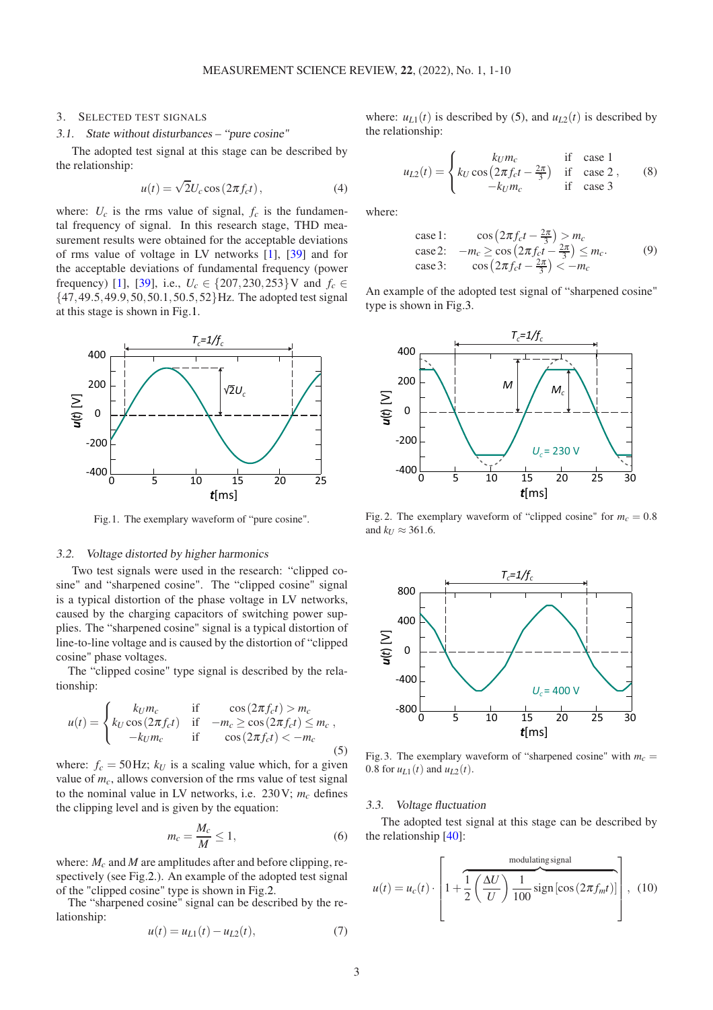# <span id="page-2-6"></span>3. SELECTED TEST SIGNALS

#### 3.1. State without disturbances – "pure cosine"

The adopted test signal at this stage can be described by the relationship:

<span id="page-2-4"></span>
$$
u(t) = \sqrt{2}U_c \cos(2\pi f_c t), \qquad (4)
$$

where:  $U_c$  is the rms value of signal,  $f_c$  is the fundamental frequency of signal. In this research stage, THD measurement results were obtained for the acceptable deviations of rms value of voltage in LV networks [\[1\]](#page-7-0), [\[39\]](#page-9-6) and for the acceptable deviations of fundamental frequency (power frequency) [\[1\]](#page-7-0), [\[39\]](#page-9-6), i.e.,  $U_c \in \{207, 230, 253\}$  V and  $f_c \in$ {47,49.5,49.9,50,50.1,50.5,52}Hz. The adopted test signal at this stage is shown in Fig[.1.](#page-2-0)

<span id="page-2-0"></span>

Fig.1. The exemplary waveform of "pure cosine".

#### <span id="page-2-7"></span>3.2. Voltage distorted by higher harmonics

Two test signals were used in the research: "clipped cosine" and "sharpened cosine". The "clipped cosine" signal is a typical distortion of the phase voltage in LV networks, caused by the charging capacitors of switching power supplies. The "sharpened cosine" signal is a typical distortion of line-to-line voltage and is caused by the distortion of "clipped cosine" phase voltages.

The "clipped cosine" type signal is described by the relationship:

<span id="page-2-2"></span>
$$
u(t) = \begin{cases} k_U m_c & \text{if } \cos(2\pi f_c t) > m_c \\ k_U \cos(2\pi f_c t) & \text{if } -m_c \ge \cos(2\pi f_c t) \le m_c \\ -k_U m_c & \text{if } \cos(2\pi f_c t) < -m_c \end{cases}
$$
(5)

where:  $f_c = 50$  Hz;  $k_U$  is a scaling value which, for a given value of  $m<sub>c</sub>$ , allows conversion of the rms value of test signal to the nominal value in LV networks, i.e.  $230V$ ;  $m_c$  defines the clipping level and is given by the equation:

$$
m_c = \frac{M_c}{M} \le 1,\tag{6}
$$

where:  $M_c$  and  $M$  are amplitudes after and before clipping, respectively (see Fig[.2.](#page-2-1)). An example of the adopted test signal of the "clipped cosine" type is shown in Fig[.2.](#page-2-1)

The "sharpened cosine" signal can be described by the relationship:

$$
u(t) = u_{L1}(t) - u_{L2}(t),
$$
\n(7)

where:  $u_{L1}(t)$  is described by [\(5\)](#page-2-2), and  $u_{L2}(t)$  is described by the relationship:

$$
u_{L2}(t) = \begin{cases} k_U m_c & \text{if } \csc 1\\ k_U \cos \left(2\pi f_c t - \frac{2\pi}{3}\right) & \text{if } \csc 2\\ -k_U m_c & \text{if } \csc 3 \end{cases}
$$
 (8)

where:

case 1: 
$$
\cos\left(2\pi f_c t - \frac{2\pi}{3}\right) > m_c
$$
\ncase 2: 
$$
-m_c \geq \cos\left(2\pi f_c t - \frac{2\pi}{3}\right) \leq m_c.
$$
\ncase 3: 
$$
\cos\left(2\pi f_c t - \frac{2\pi}{3}\right) < -m_c
$$
\n(9)

An example of the adopted test signal of "sharpened cosine" type is shown in Fig[.3.](#page-2-3)

<span id="page-2-1"></span>

Fig. 2. The exemplary waveform of "clipped cosine" for  $m_c = 0.8$ and  $k_U \approx 361.6$ .

<span id="page-2-3"></span>

Fig. 3. The exemplary waveform of "sharpened cosine" with  $m_c$  = 0.8 for  $u_{L1}(t)$  and  $u_{L2}(t)$ .

#### <span id="page-2-8"></span>3.3. Voltage fluctuation

The adopted test signal at this stage can be described by the relationship [\[40\]](#page-9-7):

<span id="page-2-5"></span>
$$
u(t) = u_c(t) \cdot \left[ 1 + \frac{1}{2} \left( \frac{\Delta U}{U} \right) \frac{1}{100} \text{sign} \left[ \cos \left( 2 \pi f_m t \right) \right] \right], \quad (10)
$$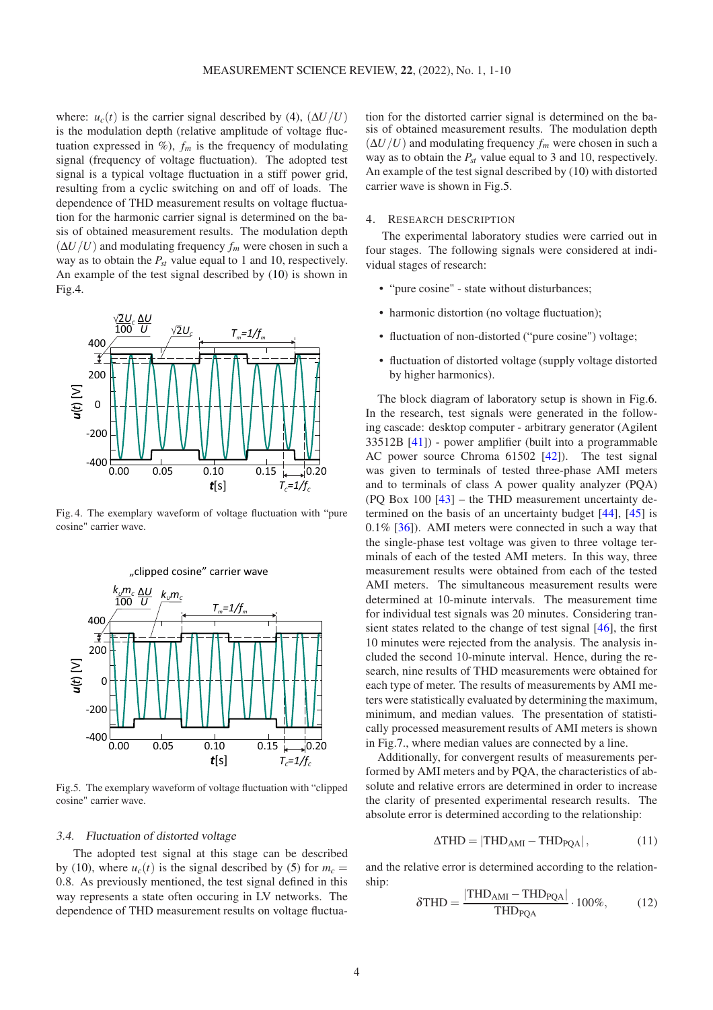where:  $u_c(t)$  is the carrier signal described by [\(4\)](#page-2-4),  $(\Delta U/U)$ is the modulation depth (relative amplitude of voltage fluctuation expressed in  $\mathcal{P}_0$ ,  $f_m$  is the frequency of modulating signal (frequency of voltage fluctuation). The adopted test signal is a typical voltage fluctuation in a stiff power grid, resulting from a cyclic switching on and off of loads. The dependence of THD measurement results on voltage fluctuation for the harmonic carrier signal is determined on the basis of obtained measurement results. The modulation depth  $(\Delta U/U)$  and modulating frequency  $f_m$  were chosen in such a way as to obtain the *Pst* value equal to 1 and 10, respectively. An example of the test signal described by [\(10\)](#page-2-5) is shown in Fig[.4.](#page-3-0)

<span id="page-3-0"></span>

Fig. 4. The exemplary waveform of voltage fluctuation with "pure cosine" carrier wave.

<span id="page-3-1"></span>

Fig.5. The exemplary waveform of voltage fluctuation with "clipped cosine" carrier wave.

#### <span id="page-3-4"></span>3.4. Fluctuation of distorted voltage

The adopted test signal at this stage can be described by [\(10\)](#page-2-5), where  $u_c(t)$  is the signal described by [\(5\)](#page-2-2) for  $m_c =$ 0.8. As previously mentioned, the test signal defined in this way represents a state often occuring in LV networks. The dependence of THD measurement results on voltage fluctuation for the distorted carrier signal is determined on the basis of obtained measurement results. The modulation depth  $(\Delta U/U)$  and modulating frequency  $f_m$  were chosen in such a way as to obtain the  $P_{st}$  value equal to 3 and 10, respectively. An example of the test signal described by [\(10\)](#page-2-5) with distorted carrier wave is shown in Fig[.5.](#page-3-1)

# 4. RESEARCH DESCRIPTION

The experimental laboratory studies were carried out in four stages. The following signals were considered at individual stages of research:

- "pure cosine" state without disturbances;
- harmonic distortion (no voltage fluctuation);
- fluctuation of non-distorted ("pure cosine") voltage;
- fluctuation of distorted voltage (supply voltage distorted by higher harmonics).

The block diagram of laboratory setup is shown in Fig[.6.](#page-4-0) In the research, test signals were generated in the following cascade: desktop computer - arbitrary generator (Agilent 33512B [\[41\]](#page-9-8)) - power amplifier (built into a programmable AC power source Chroma 61502 [\[42\]](#page-9-9)). The test signal was given to terminals of tested three-phase AMI meters and to terminals of class A power quality analyzer (PQA) (PQ Box 100  $[43]$  – the THD measurement uncertainty determined on the basis of an uncertainty budget [\[44\]](#page-9-11), [\[45\]](#page-9-12) is  $0.1\%$  [\[36\]](#page-9-3)). AMI meters were connected in such a way that the single-phase test voltage was given to three voltage terminals of each of the tested AMI meters. In this way, three measurement results were obtained from each of the tested AMI meters. The simultaneous measurement results were determined at 10-minute intervals. The measurement time for individual test signals was 20 minutes. Considering transient states related to the change of test signal [\[46\]](#page-9-13), the first 10 minutes were rejected from the analysis. The analysis included the second 10-minute interval. Hence, during the research, nine results of THD measurements were obtained for each type of meter. The results of measurements by AMI meters were statistically evaluated by determining the maximum, minimum, and median values. The presentation of statistically processed measurement results of AMI meters is shown in Fig[.7.](#page-4-1), where median values are connected by a line.

Additionally, for convergent results of measurements performed by AMI meters and by PQA, the characteristics of absolute and relative errors are determined in order to increase the clarity of presented experimental research results. The absolute error is determined according to the relationship:

<span id="page-3-2"></span>
$$
\Delta \text{THD} = |\text{THD}_{\text{AMI}} - \text{THD}_{\text{PQA}}|, \tag{11}
$$

and the relative error is determined according to the relationship:

<span id="page-3-3"></span>
$$
\delta \text{THD} = \frac{|\text{THD}_{\text{AMI}} - \text{THD}_{\text{PQA}}|}{\text{THD}_{\text{PQA}}} \cdot 100\%,\tag{12}
$$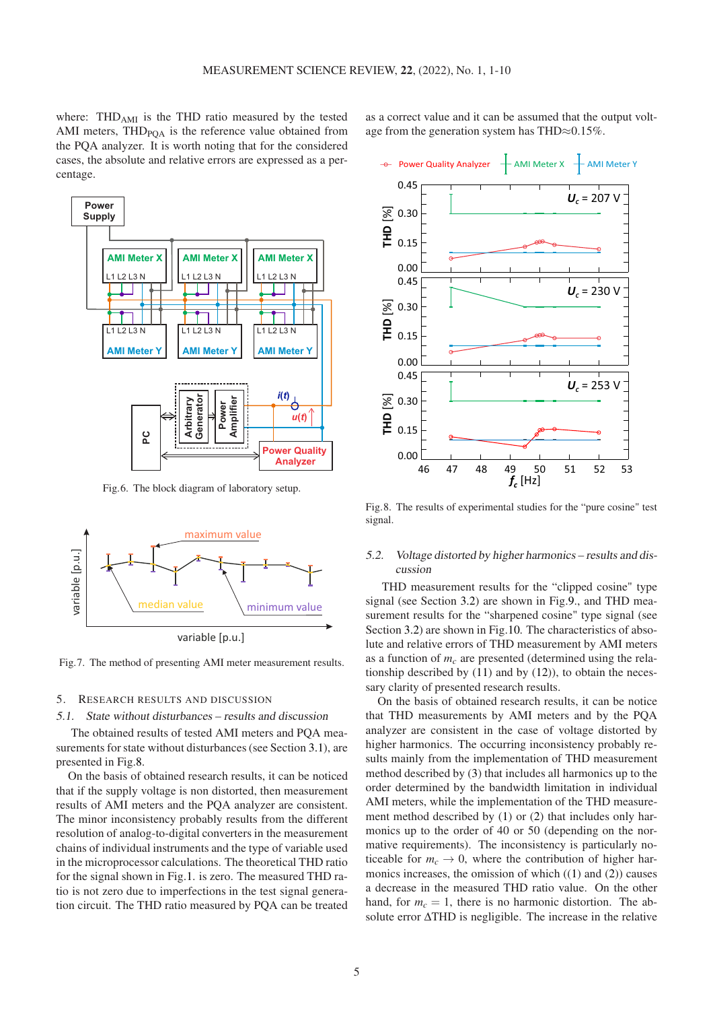where:  $THD<sub>AMI</sub>$  is the THD ratio measured by the tested AMI meters,  $THD_{POA}$  is the reference value obtained from the PQA analyzer. It is worth noting that for the considered cases, the absolute and relative errors are expressed as a percentage.

<span id="page-4-0"></span>

Fig.6. The block diagram of laboratory setup.

<span id="page-4-1"></span>

Fig.7. The method of presenting AMI meter measurement results.

#### 5. RESEARCH RESULTS AND DISCUSSION

#### 5.1. State without disturbances – results and discussion

The obtained results of tested AMI meters and PQA measurements for state without disturbances (see Section [3.1\)](#page-2-6), are presented in Fig[.8.](#page-4-2)

On the basis of obtained research results, it can be noticed that if the supply voltage is non distorted, then measurement results of AMI meters and the PQA analyzer are consistent. The minor inconsistency probably results from the different resolution of analog-to-digital converters in the measurement chains of individual instruments and the type of variable used in the microprocessor calculations. The theoretical THD ratio for the signal shown in Fig[.1.](#page-2-0) is zero. The measured THD ratio is not zero due to imperfections in the test signal generation circuit. The THD ratio measured by PQA can be treated

as a correct value and it can be assumed that the output voltage from the generation system has THD $\approx 0.15\%$ .

<span id="page-4-2"></span>

Fig.8. The results of experimental studies for the "pure cosine" test signal.

# 5.2. Voltage distorted by higher harmonics – results and discussion

THD measurement results for the "clipped cosine" type signal (see Section [3.2\)](#page-2-7) are shown in Fig[.9.](#page-5-0), and THD measurement results for the "sharpened cosine" type signal (see Section [3.2\)](#page-2-7) are shown in Fig[.10.](#page-5-1) The characteristics of absolute and relative errors of THD measurement by AMI meters as a function of *m<sup>c</sup>* are presented (determined using the relationship described by  $(11)$  and by  $(12)$ ), to obtain the necessary clarity of presented research results.

On the basis of obtained research results, it can be notice that THD measurements by AMI meters and by the PQA analyzer are consistent in the case of voltage distorted by higher harmonics. The occurring inconsistency probably results mainly from the implementation of THD measurement method described by [\(3\)](#page-1-2) that includes all harmonics up to the order determined by the bandwidth limitation in individual AMI meters, while the implementation of the THD measurement method described by [\(1\)](#page-1-0) or [\(2\)](#page-1-1) that includes only harmonics up to the order of 40 or 50 (depending on the normative requirements). The inconsistency is particularly noticeable for  $m_c \rightarrow 0$ , where the contribution of higher harmonics increases, the omission of which  $(1)$  and  $(2)$ ) causes a decrease in the measured THD ratio value. On the other hand, for  $m_c = 1$ , there is no harmonic distortion. The absolute error ∆THD is negligible. The increase in the relative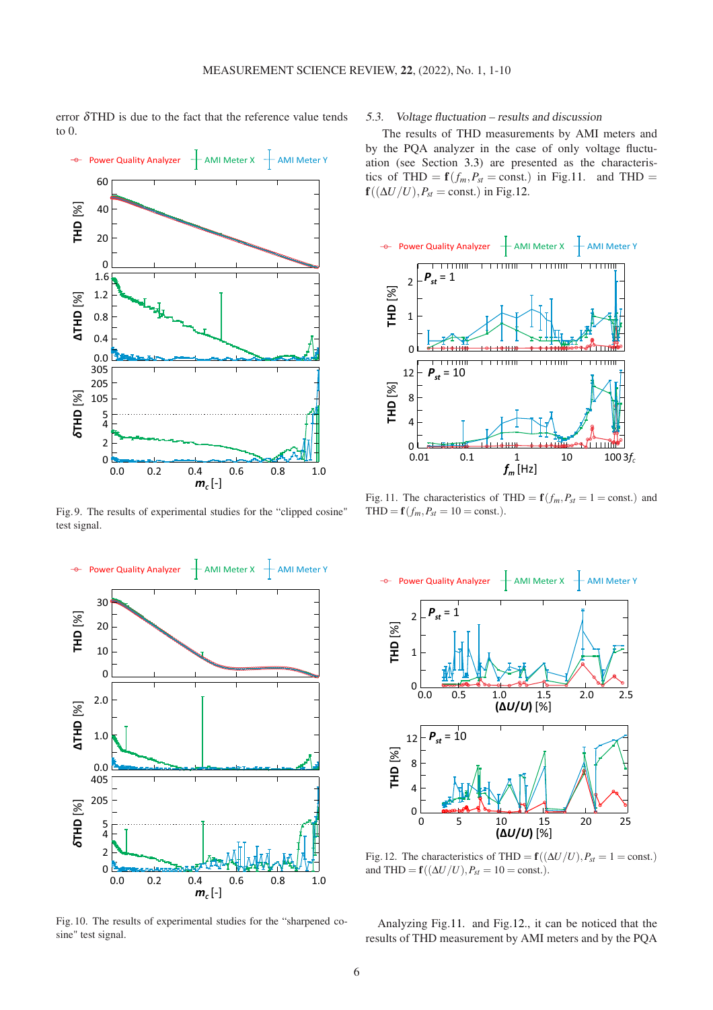error  $\delta$ THD is due to the fact that the reference value tends to 0.

<span id="page-5-0"></span>

Fig. 9. The results of experimental studies for the "clipped cosine" test signal.

<span id="page-5-1"></span>

Fig. 10. The results of experimental studies for the "sharpened cosine" test signal.

# <span id="page-5-4"></span>5.3. Voltage fluctuation – results and discussion

The results of THD measurements by AMI meters and by the PQA analyzer in the case of only voltage fluctuation (see Section [3.3\)](#page-2-8) are presented as the characteristics of THD =  $\mathbf{f}(f_m, P_{st} = \text{const.})$  in Fig[.11.](#page-5-2) and THD =  $f((\Delta U/U), P_{st} = \text{const.})$  in Fig[.12.](#page-5-3)

<span id="page-5-2"></span>

Fig. 11. The characteristics of THD =  $\mathbf{f}(f_m, P_{st} = 1 = \text{const.})$  and  $THD = f(f_m, P_{st} = 10 = \text{const.}).$ 

<span id="page-5-3"></span>

Fig. 12. The characteristics of THD =  $\mathbf{f}((\Delta U/U), P_{st} = 1 = \text{const.})$ and THD =  $\mathbf{f}((\Delta U/U), P_{st} = 10 = \text{const.}).$ 

Analyzing Fig[.11.](#page-5-2) and Fig[.12.](#page-5-3), it can be noticed that the results of THD measurement by AMI meters and by the PQA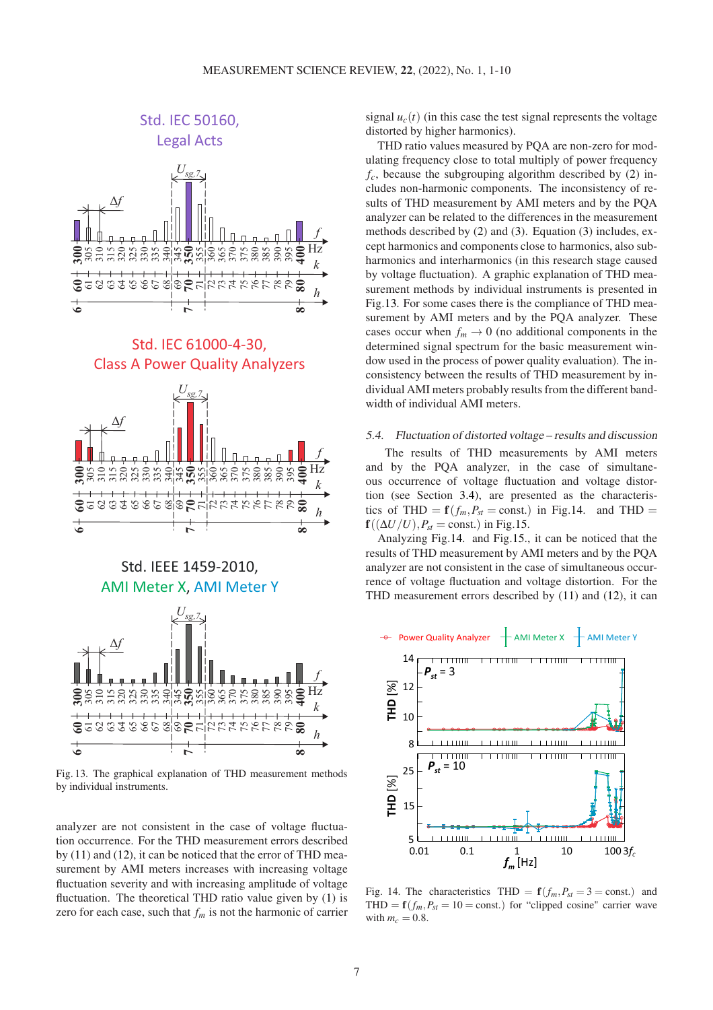<span id="page-6-0"></span>

Fig. 13. The graphical explanation of THD measurement methods by individual instruments.

analyzer are not consistent in the case of voltage fluctuation occurrence. For the THD measurement errors described by [\(11\)](#page-3-2) and [\(12\)](#page-3-3), it can be noticed that the error of THD measurement by AMI meters increases with increasing voltage fluctuation severity and with increasing amplitude of voltage fluctuation. The theoretical THD ratio value given by [\(1\)](#page-1-0) is zero for each case, such that  $f_m$  is not the harmonic of carrier

signal  $u_c(t)$  (in this case the test signal represents the voltage distorted by higher harmonics).

THD ratio values measured by PQA are non-zero for modulating frequency close to total multiply of power frequency  $f_c$ , because the subgrouping algorithm described by  $(2)$  includes non-harmonic components. The inconsistency of results of THD measurement by AMI meters and by the PQA analyzer can be related to the differences in the measurement methods described by [\(2\)](#page-1-1) and [\(3\)](#page-1-2). Equation [\(3\)](#page-1-2) includes, except harmonics and components close to harmonics, also subharmonics and interharmonics (in this research stage caused by voltage fluctuation). A graphic explanation of THD measurement methods by individual instruments is presented in Fig[.13.](#page-6-0) For some cases there is the compliance of THD measurement by AMI meters and by the PQA analyzer. These cases occur when  $f_m \to 0$  (no additional components in the determined signal spectrum for the basic measurement window used in the process of power quality evaluation). The inconsistency between the results of THD measurement by individual AMI meters probably results from the different bandwidth of individual AMI meters.

#### 5.4. Fluctuation of distorted voltage – results and discussion

The results of THD measurements by AMI meters and by the PQA analyzer, in the case of simultaneous occurrence of voltage fluctuation and voltage distortion (see Section [3.4\)](#page-3-4), are presented as the characteristics of THD =  $\mathbf{f}(f_m, P_{st} = \text{const.})$  in Fig[.14.](#page-6-1) and THD =  $f((\Delta U/U), P_{st} = \text{const.})$  in Fig[.15.](#page-7-3)

Analyzing Fig[.14.](#page-6-1) and Fig[.15.](#page-7-3), it can be noticed that the results of THD measurement by AMI meters and by the PQA analyzer are not consistent in the case of simultaneous occurrence of voltage fluctuation and voltage distortion. For the THD measurement errors described by [\(11\)](#page-3-2) and [\(12\)](#page-3-3), it can

<span id="page-6-1"></span>

Fig. 14. The characteristics THD =  $f(f_m, P_{st} = 3 = \text{const.})$  and THD =  $f(f_m, P_{st} = 10 = \text{const.})$  for "clipped cosine" carrier wave with  $m_c = 0.8$ .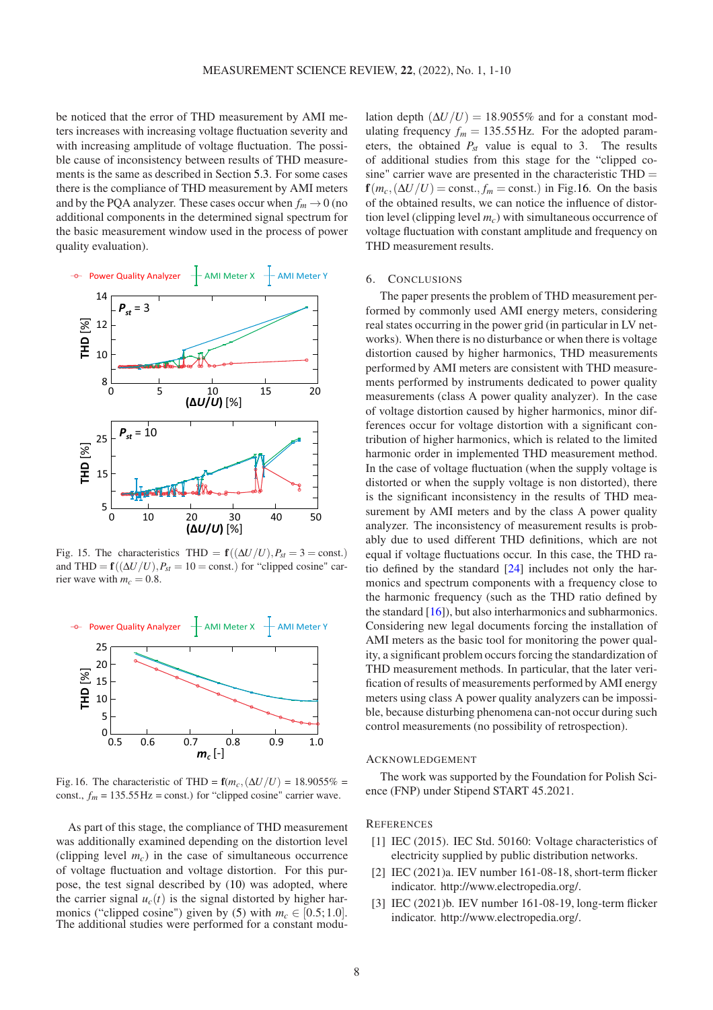be noticed that the error of THD measurement by AMI meters increases with increasing voltage fluctuation severity and with increasing amplitude of voltage fluctuation. The possible cause of inconsistency between results of THD measurements is the same as described in Section [5.3.](#page-5-4) For some cases there is the compliance of THD measurement by AMI meters and by the PQA analyzer. These cases occur when  $f_m \to 0$  (no additional components in the determined signal spectrum for the basic measurement window used in the process of power quality evaluation).

<span id="page-7-3"></span>

Fig. 15. The characteristics THD =  $f((\Delta U/U), P_{st} = 3 = \text{const.})$ and THD =  $f((\Delta U/U), P_{st} = 10 = \text{const.})$  for "clipped cosine" carrier wave with  $m_c = 0.8$ .

<span id="page-7-4"></span>

Fig. 16. The characteristic of THD =  $\mathbf{f}(m_c, (\Delta U/U) = 18.9055\%$  = const.,  $f_m = 135.55 \text{ Hz} = \text{const.}$ ) for "clipped cosine" carrier wave.

As part of this stage, the compliance of THD measurement was additionally examined depending on the distortion level (clipping level  $m_c$ ) in the case of simultaneous occurrence of voltage fluctuation and voltage distortion. For this purpose, the test signal described by [\(10\)](#page-2-5) was adopted, where the carrier signal  $u_c(t)$  is the signal distorted by higher har-monics ("clipped cosine") given by [\(5\)](#page-2-2) with  $m_c \in [0.5; 1.0]$ . The additional studies were performed for a constant modu-

lation depth  $(\Delta U/U) = 18.9055\%$  and for a constant modulating frequency  $f_m = 135.55$  Hz. For the adopted parameters, the obtained *Pst* value is equal to 3. The results of additional studies from this stage for the "clipped cosine" carrier wave are presented in the characteristic THD =  $f(m_c, (\Delta U/U) = \text{const.}, f_m = \text{const.})$  in Fig[.16.](#page-7-4) On the basis of the obtained results, we can notice the influence of distortion level (clipping level *mc*) with simultaneous occurrence of voltage fluctuation with constant amplitude and frequency on THD measurement results.

### 6. CONCLUSIONS

The paper presents the problem of THD measurement performed by commonly used AMI energy meters, considering real states occurring in the power grid (in particular in LV networks). When there is no disturbance or when there is voltage distortion caused by higher harmonics, THD measurements performed by AMI meters are consistent with THD measurements performed by instruments dedicated to power quality measurements (class A power quality analyzer). In the case of voltage distortion caused by higher harmonics, minor differences occur for voltage distortion with a significant contribution of higher harmonics, which is related to the limited harmonic order in implemented THD measurement method. In the case of voltage fluctuation (when the supply voltage is distorted or when the supply voltage is non distorted), there is the significant inconsistency in the results of THD measurement by AMI meters and by the class A power quality analyzer. The inconsistency of measurement results is probably due to used different THD definitions, which are not equal if voltage fluctuations occur. In this case, the THD ratio defined by the standard [\[24\]](#page-8-20) includes not only the harmonics and spectrum components with a frequency close to the harmonic frequency (such as the THD ratio defined by the standard  $[16]$ ), but also interharmonics and subharmonics. Considering new legal documents forcing the installation of AMI meters as the basic tool for monitoring the power quality, a significant problem occurs forcing the standardization of THD measurement methods. In particular, that the later verification of results of measurements performed by AMI energy meters using class A power quality analyzers can be impossible, because disturbing phenomena can-not occur during such control measurements (no possibility of retrospection).

#### ACKNOWLEDGEMENT

The work was supported by the Foundation for Polish Science (FNP) under Stipend START 45.2021.

## <span id="page-7-0"></span>**REFERENCES**

- [1] IEC (2015). IEC Std. 50160: Voltage characteristics of electricity supplied by public distribution networks.
- <span id="page-7-1"></span>[2] IEC (2021)a. IEV number 161-08-18, short-term flicker indicator. http://www.electropedia.org/.
- <span id="page-7-2"></span>[3] IEC (2021)b. IEV number 161-08-19, long-term flicker indicator. http://www.electropedia.org/.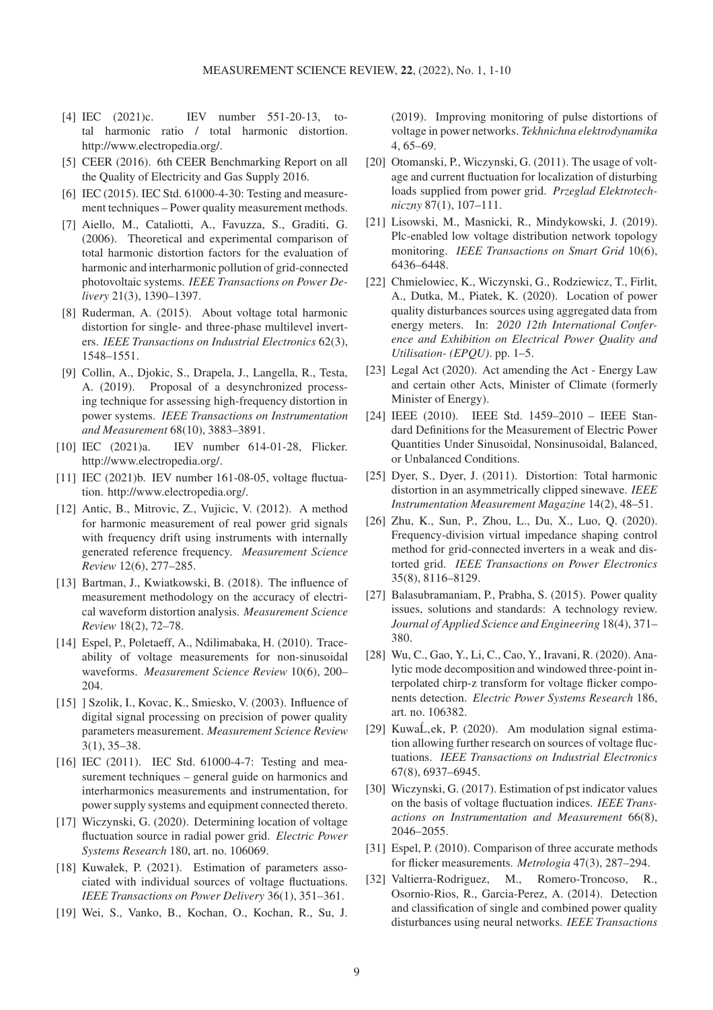- <span id="page-8-0"></span>[4] IEC (2021)c. IEV number 551-20-13, total harmonic ratio / total harmonic distortion. http://www.electropedia.org/.
- <span id="page-8-1"></span>[5] CEER (2016). 6th CEER Benchmarking Report on all the Quality of Electricity and Gas Supply 2016.
- <span id="page-8-2"></span>[6] IEC (2015). IEC Std. 61000-4-30: Testing and measurement techniques – Power quality measurement methods.
- <span id="page-8-3"></span>[7] Aiello, M., Cataliotti, A., Favuzza, S., Graditi, G. (2006). Theoretical and experimental comparison of total harmonic distortion factors for the evaluation of harmonic and interharmonic pollution of grid-connected photovoltaic systems. *IEEE Transactions on Power Delivery* 21(3), 1390–1397.
- <span id="page-8-4"></span>[8] Ruderman, A. (2015). About voltage total harmonic distortion for single- and three-phase multilevel inverters. *IEEE Transactions on Industrial Electronics* 62(3), 1548–1551.
- <span id="page-8-5"></span>[9] Collin, A., Djokic, S., Drapela, J., Langella, R., Testa, A. (2019). Proposal of a desynchronized processing technique for assessing high-frequency distortion in power systems. *IEEE Transactions on Instrumentation and Measurement* 68(10), 3883–3891.
- <span id="page-8-6"></span>[10] IEC (2021)a. IEV number 614-01-28, Flicker. http://www.electropedia.org/.
- <span id="page-8-7"></span>[11] IEC (2021)b. IEV number 161-08-05, voltage fluctuation. http://www.electropedia.org/.
- <span id="page-8-8"></span>[12] Antic, B., Mitrovic, Z., Vujicic, V. (2012). A method for harmonic measurement of real power grid signals with frequency drift using instruments with internally generated reference frequency. *Measurement Science Review* 12(6), 277–285.
- <span id="page-8-9"></span>[13] Bartman, J., Kwiatkowski, B. (2018). The influence of measurement methodology on the accuracy of electrical waveform distortion analysis. *Measurement Science Review* 18(2), 72–78.
- <span id="page-8-10"></span>[14] Espel, P., Poletaeff, A., Ndilimabaka, H. (2010). Traceability of voltage measurements for non-sinusoidal waveforms. *Measurement Science Review* 10(6), 200– 204.
- <span id="page-8-11"></span>[15] ] Szolik, I., Kovac, K., Smiesko, V. (2003). Influence of digital signal processing on precision of power quality parameters measurement. *Measurement Science Review* 3(1), 35–38.
- <span id="page-8-12"></span>[16] IEC (2011). IEC Std. 61000-4-7: Testing and measurement techniques – general guide on harmonics and interharmonics measurements and instrumentation, for power supply systems and equipment connected thereto.
- <span id="page-8-13"></span>[17] Wiczynski, G. (2020). Determining location of voltage fluctuation source in radial power grid. *Electric Power Systems Research* 180, art. no. 106069.
- <span id="page-8-14"></span>[18] Kuwałek, P. (2021). Estimation of parameters associated with individual sources of voltage fluctuations. *IEEE Transactions on Power Delivery* 36(1), 351–361.
- <span id="page-8-15"></span>[19] Wei, S., Vanko, B., Kochan, O., Kochan, R., Su, J.

(2019). Improving monitoring of pulse distortions of voltage in power networks. *Tekhnichna elektrodynamika* 4, 65–69.

- <span id="page-8-16"></span>[20] Otomanski, P., Wiczynski, G. (2011). The usage of voltage and current fluctuation for localization of disturbing loads supplied from power grid. *Przeglad Elektrotechniczny* 87(1), 107–111.
- <span id="page-8-17"></span>[21] Lisowski, M., Masnicki, R., Mindykowski, J. (2019). Plc-enabled low voltage distribution network topology monitoring. *IEEE Transactions on Smart Grid* 10(6), 6436–6448.
- <span id="page-8-18"></span>[22] Chmielowiec, K., Wiczynski, G., Rodziewicz, T., Firlit, A., Dutka, M., Piatek, K. (2020). Location of power quality disturbances sources using aggregated data from energy meters. In: *2020 12th International Conference and Exhibition on Electrical Power Quality and Utilisation- (EPQU)*. pp. 1–5.
- <span id="page-8-19"></span>[23] Legal Act (2020). Act amending the Act - Energy Law and certain other Acts, Minister of Climate (formerly Minister of Energy).
- <span id="page-8-20"></span>[24] IEEE (2010). IEEE Std. 1459-2010 - IEEE Standard Definitions for the Measurement of Electric Power Quantities Under Sinusoidal, Nonsinusoidal, Balanced, or Unbalanced Conditions.
- <span id="page-8-21"></span>[25] Dyer, S., Dyer, J. (2011). Distortion: Total harmonic distortion in an asymmetrically clipped sinewave. *IEEE Instrumentation Measurement Magazine* 14(2), 48–51.
- <span id="page-8-22"></span>[26] Zhu, K., Sun, P., Zhou, L., Du, X., Luo, Q. (2020). Frequency-division virtual impedance shaping control method for grid-connected inverters in a weak and distorted grid. *IEEE Transactions on Power Electronics* 35(8), 8116–8129.
- <span id="page-8-23"></span>[27] Balasubramaniam, P., Prabha, S. (2015). Power quality issues, solutions and standards: A technology review. *Journal of Applied Science and Engineering* 18(4), 371– 380.
- <span id="page-8-24"></span>[28] Wu, C., Gao, Y., Li, C., Cao, Y., Iravani, R. (2020). Analytic mode decomposition and windowed three-point interpolated chirp-z transform for voltage flicker components detection. *Electric Power Systems Research* 186, art. no. 106382.
- <span id="page-8-25"></span>[29] Kuwa $\acute{L}$ , ek, P. (2020). Am modulation signal estimation allowing further research on sources of voltage fluctuations. *IEEE Transactions on Industrial Electronics* 67(8), 6937–6945.
- <span id="page-8-26"></span>[30] Wiczynski, G. (2017). Estimation of pst indicator values on the basis of voltage fluctuation indices. *IEEE Transactions on Instrumentation and Measurement* 66(8), 2046–2055.
- <span id="page-8-27"></span>[31] Espel, P. (2010). Comparison of three accurate methods for flicker measurements. *Metrologia* 47(3), 287–294.
- <span id="page-8-28"></span>[32] Valtierra-Rodriguez, M., Romero-Troncoso, R., Osornio-Rios, R., Garcia-Perez, A. (2014). Detection and classification of single and combined power quality disturbances using neural networks. *IEEE Transactions*